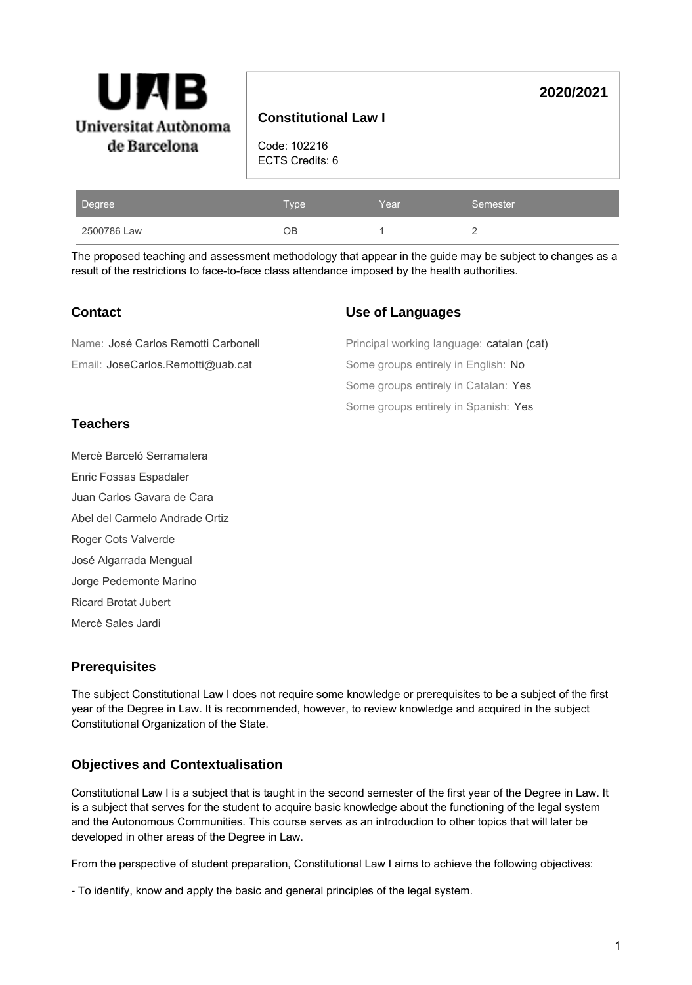

# **Constitutional Law I**

Code: 102216 ECTS Credits: 6

| Degree      | Type' | Year | Semester |
|-------------|-------|------|----------|
| 2500786 Law | OΒ    |      |          |

The proposed teaching and assessment methodology that appear in the guide may be subject to changes as a result of the restrictions to face-to-face class attendance imposed by the health authorities.

### **Contact**

#### **Use of Languages**

| Name: José Carlos Remotti Carbonell | Principal working language: catalan (cat) |
|-------------------------------------|-------------------------------------------|
| Email: JoseCarlos.Remotti@uab.cat   | Some groups entirely in English: No       |
|                                     | Some groups entirely in Catalan: Yes      |
|                                     | Some groups entirely in Spanish: Yes      |

# **Teachers**

Mercè Barceló Serramalera

Enric Fossas Espadaler

Juan Carlos Gavara de Cara

Abel del Carmelo Andrade Ortiz

Roger Cots Valverde

José Algarrada Mengual

Jorge Pedemonte Marino

Ricard Brotat Jubert

Mercè Sales Jardi

# **Prerequisites**

The subject Constitutional Law I does not require some knowledge or prerequisites to be a subject of the first year of the Degree in Law. It is recommended, however, to review knowledge and acquired in the subject Constitutional Organization of the State.

# **Objectives and Contextualisation**

Constitutional Law I is a subject that is taught in the second semester of the first year of the Degree in Law. It is a subject that serves for the student to acquire basic knowledge about the functioning of the legal system and the Autonomous Communities. This course serves as an introduction to other topics that will later be developed in other areas of the Degree in Law.

From the perspective of student preparation, Constitutional Law I aims to achieve the following objectives:

- To identify, know and apply the basic and general principles of the legal system.

**2020/2021**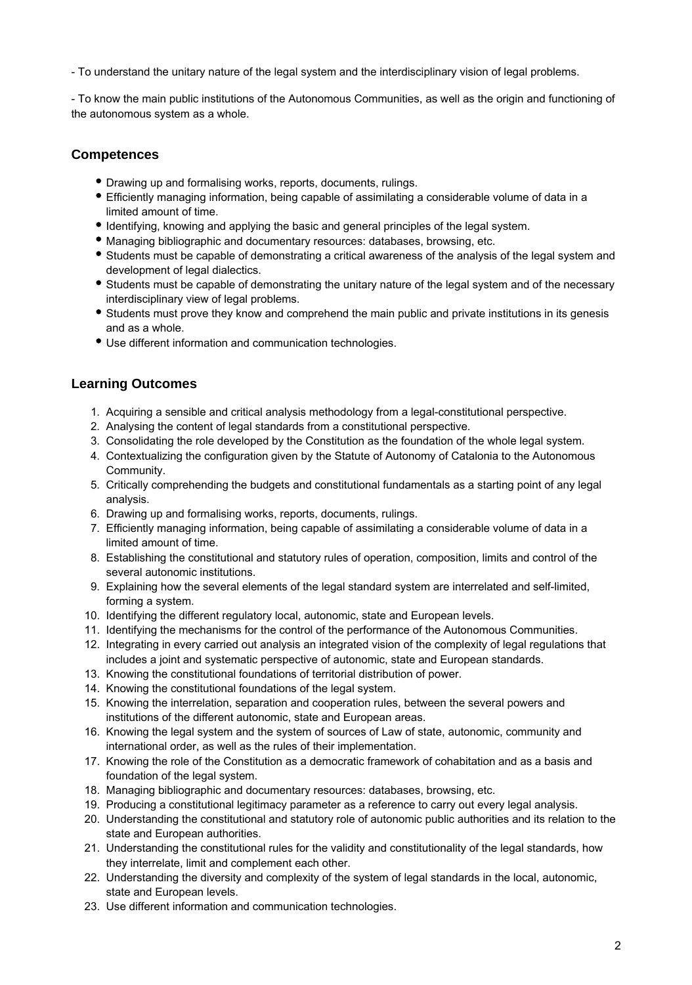- To understand the unitary nature of the legal system and the interdisciplinary vision of legal problems.

- To know the main public institutions of the Autonomous Communities, as well as the origin and functioning of the autonomous system as a whole.

#### **Competences**

- Drawing up and formalising works, reports, documents, rulings.
- Efficiently managing information, being capable of assimilating a considerable volume of data in a limited amount of time.
- Identifying, knowing and applying the basic and general principles of the legal system.
- Managing bibliographic and documentary resources: databases, browsing, etc.
- Students must be capable of demonstrating a critical awareness of the analysis of the legal system and development of legal dialectics.
- Students must be capable of demonstrating the unitary nature of the legal system and of the necessary interdisciplinary view of legal problems.
- Students must prove they know and comprehend the main public and private institutions in its genesis and as a whole.
- Use different information and communication technologies.

### **Learning Outcomes**

- 1. Acquiring a sensible and critical analysis methodology from a legal-constitutional perspective.
- 2. Analysing the content of legal standards from a constitutional perspective.
- 3. Consolidating the role developed by the Constitution as the foundation of the whole legal system.
- 4. Contextualizing the configuration given by the Statute of Autonomy of Catalonia to the Autonomous Community.
- 5. Critically comprehending the budgets and constitutional fundamentals as a starting point of any legal analysis.
- 6. Drawing up and formalising works, reports, documents, rulings.
- 7. Efficiently managing information, being capable of assimilating a considerable volume of data in a limited amount of time.
- 8. Establishing the constitutional and statutory rules of operation, composition, limits and control of the several autonomic institutions.
- 9. Explaining how the several elements of the legal standard system are interrelated and self-limited, forming a system.
- 10. Identifying the different regulatory local, autonomic, state and European levels.
- 11. Identifying the mechanisms for the control of the performance of the Autonomous Communities.
- 12. Integrating in every carried out analysis an integrated vision of the complexity of legal regulations that includes a joint and systematic perspective of autonomic, state and European standards.
- 13. Knowing the constitutional foundations of territorial distribution of power.
- 14. Knowing the constitutional foundations of the legal system.
- 15. Knowing the interrelation, separation and cooperation rules, between the several powers and institutions of the different autonomic, state and European areas.
- 16. Knowing the legal system and the system of sources of Law of state, autonomic, community and international order, as well as the rules of their implementation.
- 17. Knowing the role of the Constitution as a democratic framework of cohabitation and as a basis and foundation of the legal system.
- 18. Managing bibliographic and documentary resources: databases, browsing, etc.
- 19. Producing a constitutional legitimacy parameter as a reference to carry out every legal analysis.
- 20. Understanding the constitutional and statutory role of autonomic public authorities and its relation to the state and European authorities.
- 21. Understanding the constitutional rules for the validity and constitutionality of the legal standards, how they interrelate, limit and complement each other.
- 22. Understanding the diversity and complexity of the system of legal standards in the local, autonomic, state and European levels.
- 23. Use different information and communication technologies.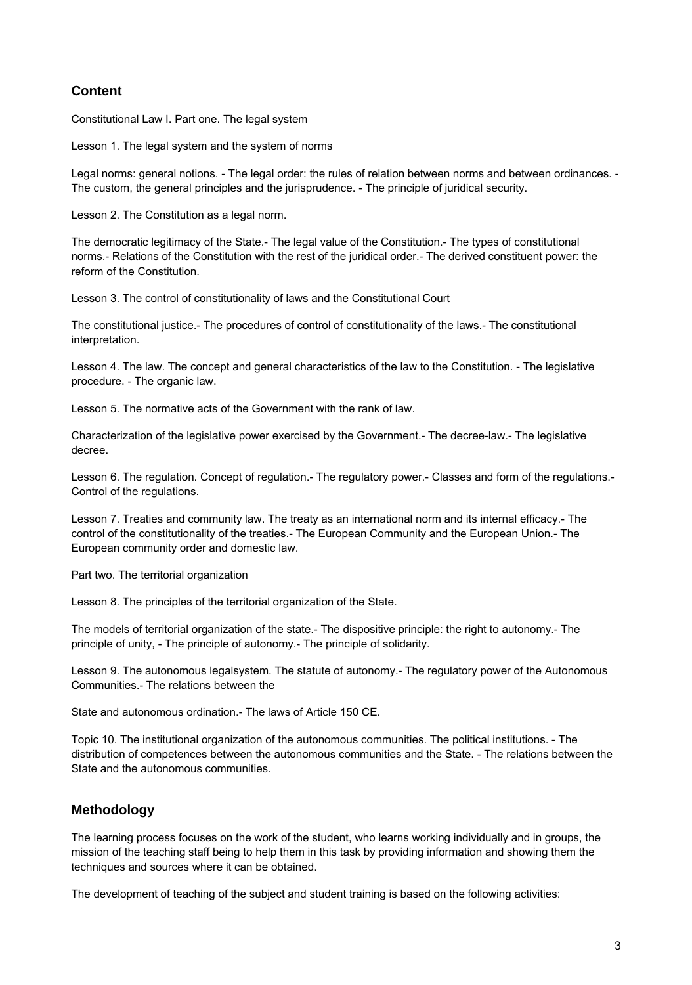# **Content**

Constitutional Law I. Part one. The legal system

Lesson 1. The legal system and the system of norms

Legal norms: general notions. - The legal order: the rules of relation between norms and between ordinances. - The custom, the general principles and the jurisprudence. - The principle of juridical security.

Lesson 2. The Constitution as a legal norm.

The democratic legitimacy of the State.- The legal value of the Constitution.- The types of constitutional norms.- Relations of the Constitution with the rest of the juridical order.- The derived constituent power: the reform of the Constitution.

Lesson 3. The control of constitutionality of laws and the Constitutional Court

The constitutional justice.- The procedures of control of constitutionality of the laws.- The constitutional interpretation.

Lesson 4. The law. The concept and general characteristics of the law to the Constitution. - The legislative procedure. - The organic law.

Lesson 5. The normative acts of the Government with the rank of law.

Characterization of the legislative power exercised by the Government.- The decree-law.- The legislative decree.

Lesson 6. The regulation. Concept of regulation.- The regulatory power.- Classes and form of the regulations.- Control of the regulations.

Lesson 7. Treaties and community law. The treaty as an international norm and its internal efficacy.- The control of the constitutionality of the treaties.- The European Community and the European Union.- The European community order and domestic law.

Part two. The territorial organization

Lesson 8. The principles of the territorial organization of the State.

The models of territorial organization of the state.- The dispositive principle: the right to autonomy.- The principle of unity, - The principle of autonomy.- The principle of solidarity.

Lesson 9. The autonomous legalsystem. The statute of autonomy.- The regulatory power of the Autonomous Communities.- The relations between the

State and autonomous ordination.- The laws of Article 150 CE.

Topic 10. The institutional organization of the autonomous communities. The political institutions. - The distribution of competences between the autonomous communities and the State. - The relations between the State and the autonomous communities.

#### **Methodology**

The learning process focuses on the work of the student, who learns working individually and in groups, the mission of the teaching staff being to help them in this task by providing information and showing them the techniques and sources where it can be obtained.

The development of teaching of the subject and student training is based on the following activities: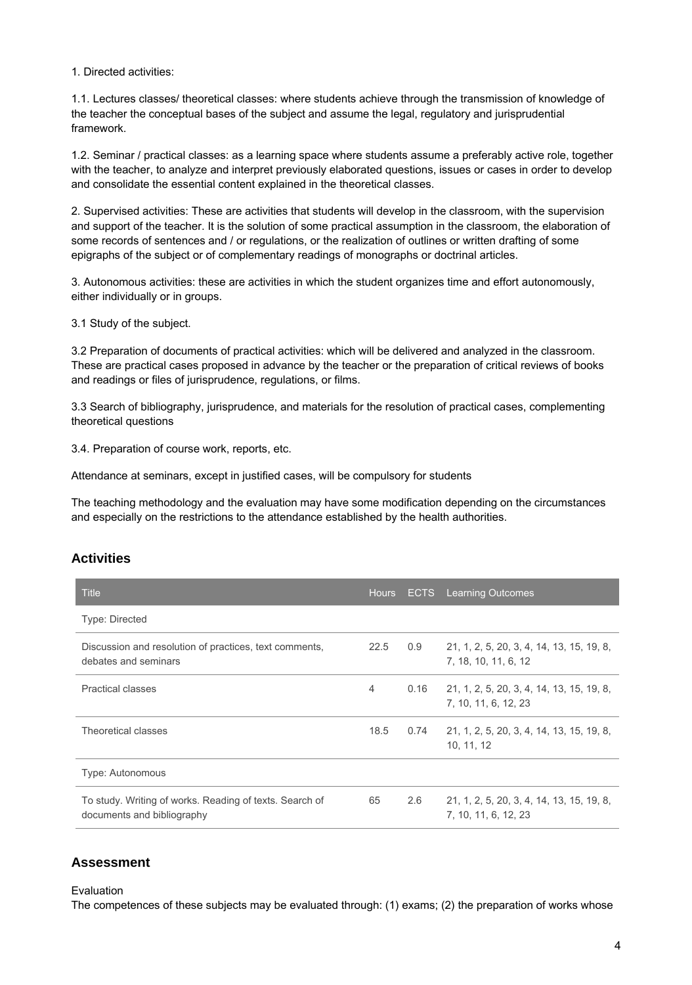1. Directed activities:

1.1. Lectures classes/ theoretical classes: where students achieve through the transmission of knowledge of the teacher the conceptual bases of the subject and assume the legal, regulatory and jurisprudential framework.

1.2. Seminar / practical classes: as a learning space where students assume a preferably active role, together with the teacher, to analyze and interpret previously elaborated questions, issues or cases in order to develop and consolidate the essential content explained in the theoretical classes.

2. Supervised activities: These are activities that students will develop in the classroom, with the supervision and support of the teacher. It is the solution of some practical assumption in the classroom, the elaboration of some records of sentences and / or regulations, or the realization of outlines or written drafting of some epigraphs of the subject or of complementary readings of monographs or doctrinal articles.

3. Autonomous activities: these are activities in which the student organizes time and effort autonomously, either individually or in groups.

3.1 Study of the subject.

3.2 Preparation of documents of practical activities: which will be delivered and analyzed in the classroom. These are practical cases proposed in advance by the teacher or the preparation of critical reviews of books and readings or files of jurisprudence, regulations, or films.

3.3 Search of bibliography, jurisprudence, and materials for the resolution of practical cases, complementing theoretical questions

3.4. Preparation of course work, reports, etc.

Attendance at seminars, except in justified cases, will be compulsory for students

The teaching methodology and the evaluation may have some modification depending on the circumstances and especially on the restrictions to the attendance established by the health authorities.

#### **Activities**

| <b>Title</b>                                                                          | <b>Hours</b> | <b>ECTS</b> | <b>Learning Outcomes</b>                                          |
|---------------------------------------------------------------------------------------|--------------|-------------|-------------------------------------------------------------------|
| Type: Directed                                                                        |              |             |                                                                   |
| Discussion and resolution of practices, text comments,<br>debates and seminars        | 22.5         | 0.9         | 21, 1, 2, 5, 20, 3, 4, 14, 13, 15, 19, 8,<br>7, 18, 10, 11, 6, 12 |
| <b>Practical classes</b>                                                              | 4            | 0.16        | 21, 1, 2, 5, 20, 3, 4, 14, 13, 15, 19, 8,<br>7, 10, 11, 6, 12, 23 |
| Theoretical classes                                                                   | 18.5         | 0.74        | 21, 1, 2, 5, 20, 3, 4, 14, 13, 15, 19, 8,<br>10, 11, 12           |
| Type: Autonomous                                                                      |              |             |                                                                   |
| To study. Writing of works. Reading of texts. Search of<br>documents and bibliography | 65           | 2.6         | 21, 1, 2, 5, 20, 3, 4, 14, 13, 15, 19, 8,<br>7. 10. 11. 6. 12. 23 |

#### **Assessment**

Evaluation

The competences of these subjects may be evaluated through: (1) exams; (2) the preparation of works whose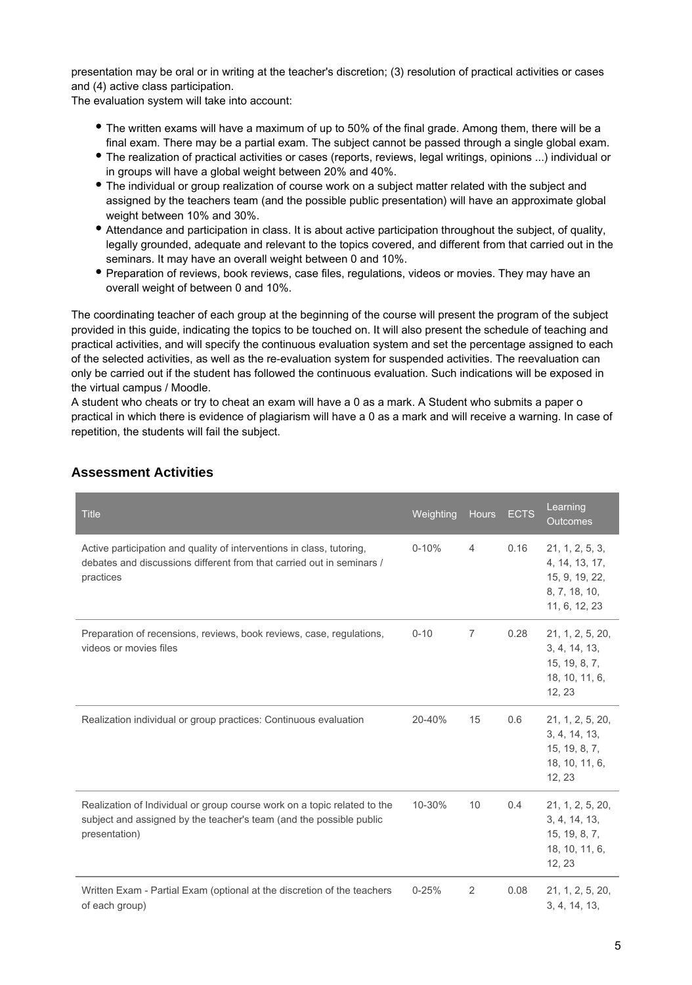presentation may be oral or in writing at the teacher's discretion; (3) resolution of practical activities or cases and (4) active class participation.

The evaluation system will take into account:

- The written exams will have a maximum of up to 50% of the final grade. Among them, there will be a final exam. There may be a partial exam. The subject cannot be passed through a single global exam.
- The realization of practical activities or cases (reports, reviews, legal writings, opinions ...) individual or in groups will have a global weight between 20% and 40%.
- The individual or group realization of course work on a subject matter related with the subject and assigned by the teachers team (and the possible public presentation) will have an approximate global weight between 10% and 30%.
- Attendance and participation in class. It is about active participation throughout the subject, of quality, legally grounded, adequate and relevant to the topics covered, and different from that carried out in the seminars. It may have an overall weight between 0 and 10%.
- Preparation of reviews, book reviews, case files, regulations, videos or movies. They may have an overall weight of between 0 and 10%.

The coordinating teacher of each group at the beginning of the course will present the program of the subject provided in this guide, indicating the topics to be touched on. It will also present the schedule of teaching and practical activities, and will specify the continuous evaluation system and set the percentage assigned to each of the selected activities, as well as the re-evaluation system for suspended activities. The reevaluation can only be carried out if the student has followed the continuous evaluation. Such indications will be exposed in the virtual campus / Moodle.

A student who cheats or try to cheat an exam will have a 0 as a mark. A Student who submits a paper o practical in which there is evidence of plagiarism will have a 0 as a mark and will receive a warning. In case of repetition, the students will fail the subject.

| <b>Title</b>                                                                                                                                                     | Weighting | <b>Hours</b>   | <b>ECTS</b> | Learning<br><b>Outcomes</b>                                                           |
|------------------------------------------------------------------------------------------------------------------------------------------------------------------|-----------|----------------|-------------|---------------------------------------------------------------------------------------|
| Active participation and quality of interventions in class, tutoring,<br>debates and discussions different from that carried out in seminars /<br>practices      | $0 - 10%$ | $\overline{4}$ | 0.16        | 21, 1, 2, 5, 3,<br>4, 14, 13, 17,<br>15, 9, 19, 22,<br>8, 7, 18, 10,<br>11, 6, 12, 23 |
| Preparation of recensions, reviews, book reviews, case, regulations,<br>videos or movies files                                                                   | $0 - 10$  | $\overline{7}$ | 0.28        | 21, 1, 2, 5, 20,<br>3, 4, 14, 13,<br>15, 19, 8, 7,<br>18, 10, 11, 6,<br>12, 23        |
| Realization individual or group practices: Continuous evaluation                                                                                                 | 20-40%    | 15             | 0.6         | 21, 1, 2, 5, 20,<br>3, 4, 14, 13,<br>15, 19, 8, 7,<br>18, 10, 11, 6,<br>12, 23        |
| Realization of Individual or group course work on a topic related to the<br>subject and assigned by the teacher's team (and the possible public<br>presentation) | 10-30%    | 10             | 0.4         | 21, 1, 2, 5, 20,<br>3, 4, 14, 13,<br>15, 19, 8, 7,<br>18, 10, 11, 6,<br>12, 23        |
| Written Exam - Partial Exam (optional at the discretion of the teachers<br>of each group)                                                                        | $0 - 25%$ | 2              | 0.08        | 21, 1, 2, 5, 20,<br>3, 4, 14, 13,                                                     |

### **Assessment Activities**